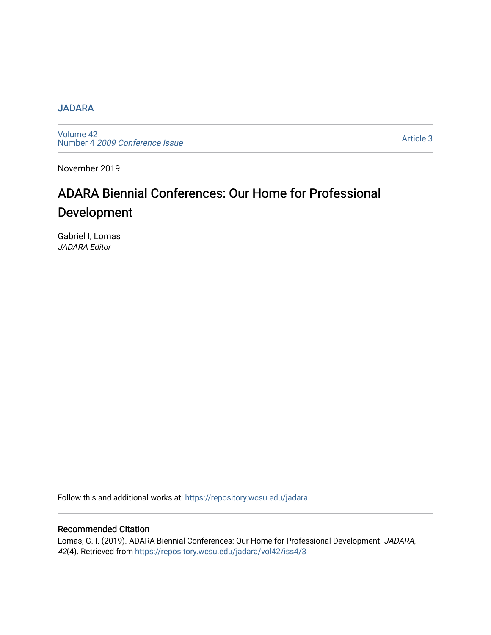## **[JADARA](https://repository.wcsu.edu/jadara)**

[Volume 42](https://repository.wcsu.edu/jadara/vol42)  Number 4 [2009 Conference Issue](https://repository.wcsu.edu/jadara/vol42/iss4) 

[Article 3](https://repository.wcsu.edu/jadara/vol42/iss4/3) 

November 2019

# ADARA Biennial Conferences: Our Home for Professional Development

Gabriel I, Lomas JADARA Editor

Follow this and additional works at: [https://repository.wcsu.edu/jadara](https://repository.wcsu.edu/jadara?utm_source=repository.wcsu.edu%2Fjadara%2Fvol42%2Fiss4%2F3&utm_medium=PDF&utm_campaign=PDFCoverPages)

## Recommended Citation

Lomas, G. I. (2019). ADARA Biennial Conferences: Our Home for Professional Development. JADARA, 42(4). Retrieved from [https://repository.wcsu.edu/jadara/vol42/iss4/3](https://repository.wcsu.edu/jadara/vol42/iss4/3?utm_source=repository.wcsu.edu%2Fjadara%2Fvol42%2Fiss4%2F3&utm_medium=PDF&utm_campaign=PDFCoverPages)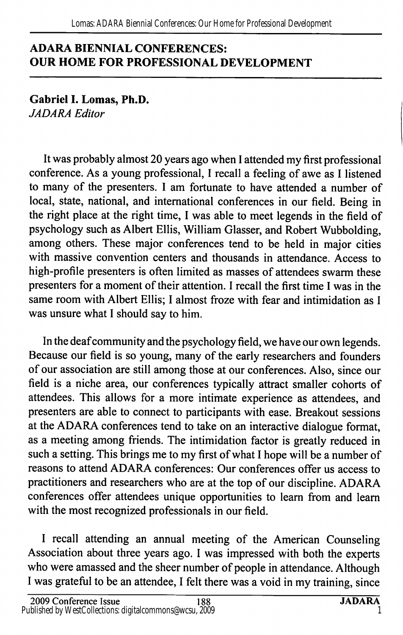# ADARA BIENNIAL CONFERENCES: OUR HOME FOR PROFESSIONAL DEVELOPMENT

Gabriel I. Lomas, Ph.D. JADARA Editor

It was probably almost 20 years ago when 1 attended my first professional conference. As a young professional, 1 recall a feeling of awe as 1 listened to many of the presenters. 1 am fortunate to have attended a number of local, state, national, and international conferences in our field. Being in the right place at the right time, 1 was able to meet legends in the field of psychology such as Albert Ellis, William Glasser, and Robert Wubbolding, among others. These major conferences tend to be held in major cities with massive convention centers and thousands in attendance. Access to high-profile presenters is often limited as masses of attendees swarm these presenters for a moment of their attention. 1 recall the first time 1 was in the same room with Albert Ellis; 1 almost froze with fear and intimidation as 1 was unsure what 1 should say to him.

In the deaf community and the psychology field, we have our own legends. Because our field is so young, many of the early researchers and founders of our association are still among those at our conferences. Also, since our field is a niche area, our conferences typically attract smaller cohorts of attendees. This allows for a more intimate experience as attendees, and presenters are able to connect to participants with ease. Breakout sessions at the ADARA conferences tend to take on an interactive dialogue format, as a meeting among friends. The intimidation factor is greatly reduced in such a setting. This brings me to my first of what 1 hope will be a number of reasons to attend ADARA conferences: Our conferences offer us access to practitioners and researchers who are at the top of our discipline. ADARA conferences offer attendees unique opportunities to learn from and learn with the most recognized professionals in our field.

1 recall attending an annual meeting of the American Counseling Association about three years ago. 1 was impressed with both the experts who were amassed and the sheer number of people in attendance. Although 1 was grateful to be an attendee, 1 felt there was a void in my training, since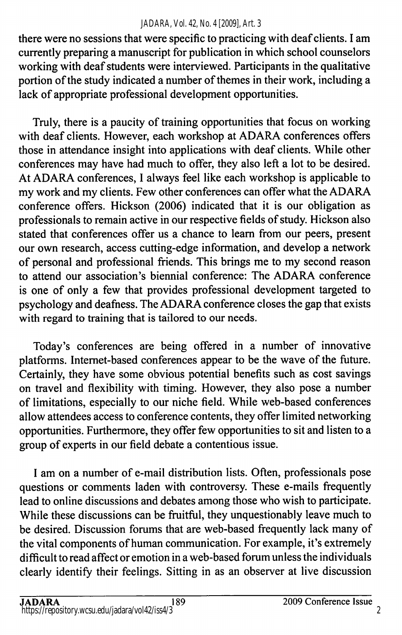### *JADARA, Vol. 42, No. 4 [2009], Art. 3*

there were no sessions that were specific to practicing with deaf clients. I am currently preparing a manuscript for publication in which school counselors working with deaf students were interviewed. Participants in the qualitative portion of the study indicated a number of themes in their work, including a lack of appropriate professional development opportunities.

Truly, there is a paucity of training opportunities that focus on working with deaf clients. However, each workshop at ADARA conferences offers those in attendance insight into applications with deaf clients. While other conferences may have had much to offer, they also left a lot to be desired. At ADARA conferences, I always feel like each workshop is applicable to my work and my clients. Few other conferences can offer what the ADARA conference offers. Hickson (2006) indicated that it is our obligation as professionals to remain active in our respective fields of study. Hickson also stated that conferences offer us a chance to learn from our peers, present our own research, access cutting-edge information, and develop a network of personal and professional friends. This brings me to my second reason to attend our association's biennial conference: The ADARA conference is one of only a few that provides professional development targeted to psychology and deafness. The ADARA conference closes the gap that exists with regard to training that is tailored to our needs.

Today's conferences are being offered in a number of innovative platforms. Internet-based conferences appear to be the wave of the future. Certainly, they have some obvious potential benefits such as cost savings on travel and flexibility with timing. However, they also pose a number of limitations, especially to our niche field. While web-based conferences allow attendees access to conference contents, they offer limited networking opportunities. Furthermore, they offer few opportunities to sit and listen to a group of experts in our field debate a contentious issue.

I am on a number of e-mail distribution lists. Often, professionals pose questions or comments laden with controversy. These e-mails frequently lead to online discussions and debates among those who wish to participate. While these discussions can be fruitful, they unquestionably leave much to be desired. Discussion forums that are web-based frequently lack many of the vital components of human communication. For example, it's extremely difficult to read affect or emotion in a web-based forum unless the individuals clearly identify their feelings. Sitting in as an observer at live discussion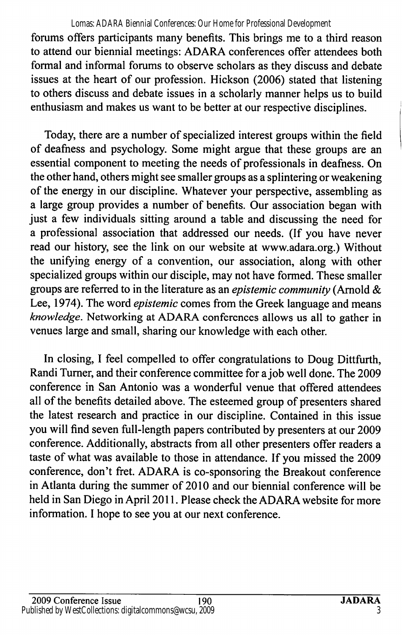## Lomas: ADARA Biennial Conferences: Our Home for Professional Development

forums offers participants many benefits. This brings me to a third reason to attend our biennial meetings: ADARA conferences offer attendees both formal and informal forums to observe scholars as they discuss and debate issues at the heart of our profession. Hickson (2006) stated that listening to others discuss and debate issues in a scholarly manner helps us to build enthusiasm and makes us want to be better at our respective disciplines.

Today, there are a number of specialized interest groups within the field of deafness and psychology. Some might argue that these groups are an essential component to meeting the needs of professionals in deafness. On the other hand, others might see smaller groups as a splintering or weakening of the energy in our discipline. Whatever your perspective, assembling as a large group provides a number of benefits. Our association began with just a few individuals sitting around a table and discussing the need for a professional association that addressed our needs. (If you have never read our history, see the link on our website at www.adara.org.) Without the unifying energy of a convention, our association, along with other specialized groups within our disciple, may not have formed. These smaller groups are referred to in the literature as an epistemic community (Arnold & Lee, 1974). The word epistemic comes from the Greek language and means knowledge. Networking at ADARA conferences allows us all to gather in venues large and small, sharing our knowledge with each other.

In closing, I feel compelled to offer congratulations to Doug Dittfurth, Randi Turner, and their conference committee for a job well done. The 2009 conference in San Antonio was a wonderful venue that offered attendees all of the benefits detailed above. The esteemed group of presenters shared the latest research and practice in our discipline. Contained in this issue you will find seven full-length papers contributed by presenters at our 2009 conference. Additionally, abstracts from all other presenters offer readers a taste of what was available to those in attendance. If you missed the 2009 conference, don't fret. ADARA is co-sponsoring the Breakout conference in Atlanta during the summer of 2010 and our biennial conference will be held in San Diego in April 2011. Please check the ADARA website for more information. I hope to see you at our next conference.